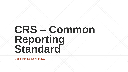Dubai Islamic Bank PJSC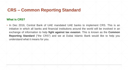## **What is CRS?**

▪ In Dec 2016, Central Bank of UAE mandated UAE banks to implement CRS. This is an initiative in which all banks and financial institutions around the world will be involved in an exchange of information to help **fight against tax evasion**. This is known as the **Common Reporting Standard** ("the CRS") and we at Dubai Islamic Bank would like to help you understand what it means for you.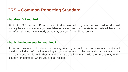## **What does DIB require?**

▪ Under the CRS, we at DIB are required to determine where you are a "tax resident" (this will usually be a country where you are liable to pay income or corporate taxes). We will base this on information we have already or we may ask you for additional details.

#### **What is the documentation required?**

**.** If you are tax resident outside the country where you bank then we may need additional details, including information relating to your accounts, to the tax authority in the country where the account is held. They may then share that information with the tax authority of the country (or countries) where you are tax resident.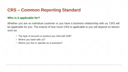## **Who is it applicable for?**

Whether you are an individual customer or you have a business relationship with us, CRS will be applicable for you. The extend of how much CRS is applicable to you will depend on factors such as:

- The type of account or product you hold with DIB?
- Where you bank with us?
- Where you live or operate as a business?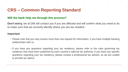### **Will the bank help me through this process?**

**Don't worry,** we at DIB will contact you if you are affected and will confirm what you need to do to make sure that we correctly identify where you are tax resident.

#### **Important**

- Please note that you may receive more than one request for information, if you have multiple banking relationships with us
- If you have any questions regarding your tax residency, please refer to the rules governing tax residence that have been published by each country's national tax authority. If you have any specific questions regarding your tax residency, please contact a professional tax adviser, as we are unable to provide tax advice.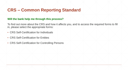#### **Will the bank help me through this process?**

To find out more about the CRS and how it affects you, and to access the required forms to fill in, please select the appropriate forms:

- **CRS Self-Certification for Individuals**
- CRS Self-Certification for Entities
- CRS Self-Certification for Controlling Persons